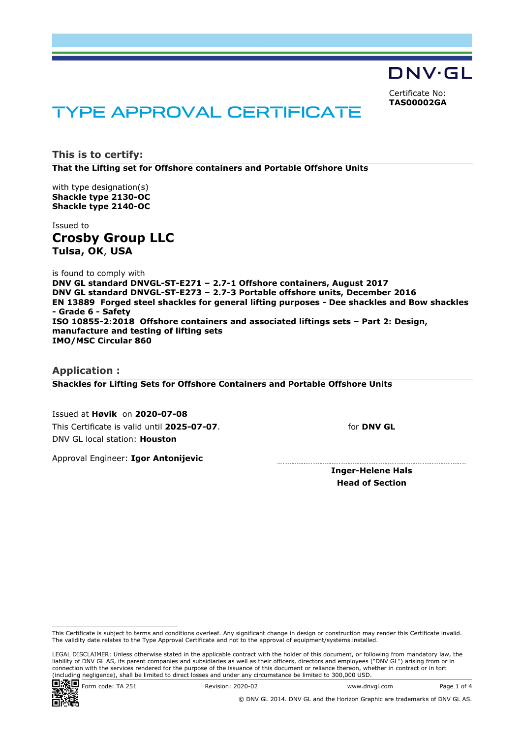DNV·GL Certificate No:

**TAS00002GA**

# TYPE APPROVAL CERTIFICATE

**This is to certify: That the Lifting set for Offshore containers and Portable Offshore Units**

with type designation(s) **Shackle type 2130-OC Shackle type 2140-OC**

Issued to **Crosby Group LLC Tulsa, OK**, **USA**

is found to comply with **DNV GL standard DNVGL-ST-E271 – 2.7-1 Offshore containers, August 2017 DNV GL standard DNVGL-ST-E273 – 2.7-3 Portable offshore units, December 2016 EN 13889 Forged steel shackles for general lifting purposes - Dee shackles and Bow shackles - Grade 6 - Safety ISO 10855-2:2018 Offshore containers and associated liftings sets – Part 2: Design, manufacture and testing of lifting sets IMO/MSC Circular 860**

**Application : Shackles for Lifting Sets for Offshore Containers and Portable Offshore Units**

 Issued at **Høvik** on **2020-07-08** This Certificate is valid until **2025-07-07**. DNV GL local station: **Houston**

Approval Engineer: **Igor Antonijevic**

for **DNV GL**

**Inger-Helene Hals Head of Section**

LEGAL DISCLAIMER: Unless otherwise stated in the applicable contract with the holder of this document, or following from mandatory law, the liability of DNV GL AS, its parent companies and subsidiaries as well as their officers, directors and employees ("DNV GL") arising from or in connection with the services rendered for the purpose of the issuance of this document or reliance thereon, whether in contract or in tort (including negligence), shall be limited to direct losses and under any circumstance be limited to 300,000 USD.



This Certificate is subject to terms and conditions overleaf. Any significant change in design or construction may render this Certificate invalid. The validity date relates to the Type Approval Certificate and not to the approval of equipment/systems installed.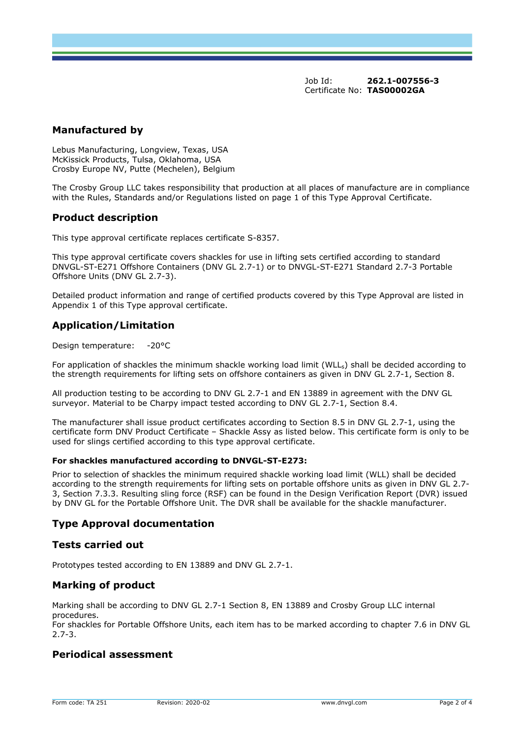Job Id: **262.1-007556-3**  Certificate No: **TAS00002GA**

## **Manufactured by**

Lebus Manufacturing, Longview, Texas, USA McKissick Products, Tulsa, Oklahoma, USA Crosby Europe NV, Putte (Mechelen), Belgium

The Crosby Group LLC takes responsibility that production at all places of manufacture are in compliance with the Rules, Standards and/or Regulations listed on page 1 of this Type Approval Certificate.

### **Product description**

This type approval certificate replaces certificate S-8357.

This type approval certificate covers shackles for use in lifting sets certified according to standard DNVGL-ST-E271 Offshore Containers (DNV GL 2.7-1) or to DNVGL-ST-E271 Standard 2.7-3 Portable Offshore Units (DNV GL 2.7-3).

Detailed product information and range of certified products covered by this Type Approval are listed in Appendix 1 of this Type approval certificate.

# **Application/Limitation**

Design temperature: -20°C

For application of shackles the minimum shackle working load limit (WLL) shall be decided according to the strength requirements for lifting sets on offshore containers as given in DNV GL 2.7-1, Section 8.

All production testing to be according to DNV GL 2.7-1 and EN 13889 in agreement with the DNV GL surveyor. Material to be Charpy impact tested according to DNV GL 2.7-1, Section 8.4.

The manufacturer shall issue product certificates according to Section 8.5 in DNV GL 2.7-1, using the certificate form DNV Product Certificate – Shackle Assy as listed below. This certificate form is only to be used for slings certified according to this type approval certificate.

#### **For shackles manufactured according to DNVGL-ST-E273:**

Prior to selection of shackles the minimum required shackle working load limit (WLL) shall be decided according to the strength requirements for lifting sets on portable offshore units as given in DNV GL 2.7- 3, Section 7.3.3. Resulting sling force (RSF) can be found in the Design Verification Report (DVR) issued by DNV GL for the Portable Offshore Unit. The DVR shall be available for the shackle manufacturer.

#### **Type Approval documentation**

#### **Tests carried out**

Prototypes tested according to EN 13889 and DNV GL 2.7-1.

## **Marking of product**

Marking shall be according to DNV GL 2.7-1 Section 8, EN 13889 and Crosby Group LLC internal procedures.

For shackles for Portable Offshore Units, each item has to be marked according to chapter 7.6 in DNV GL 2.7-3.

## **Periodical assessment**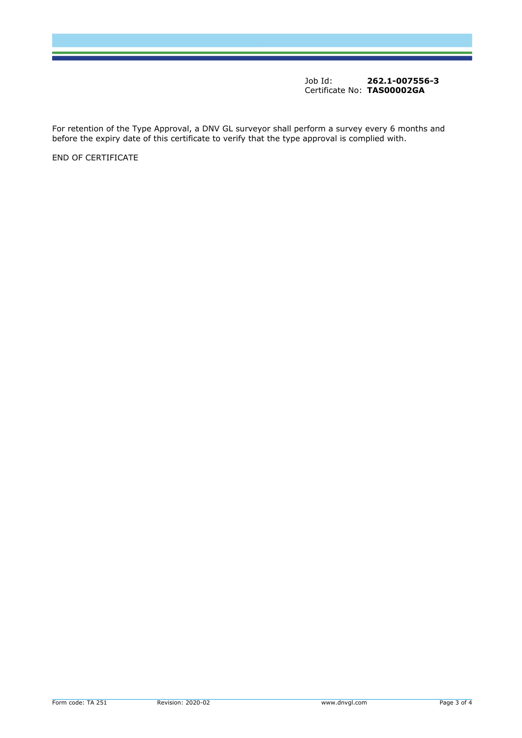Job Id: **262.1-007556-3**  Certificate No: **TAS00002GA**

For retention of the Type Approval, a DNV GL surveyor shall perform a survey every 6 months and before the expiry date of this certificate to verify that the type approval is complied with.

END OF CERTIFICATE